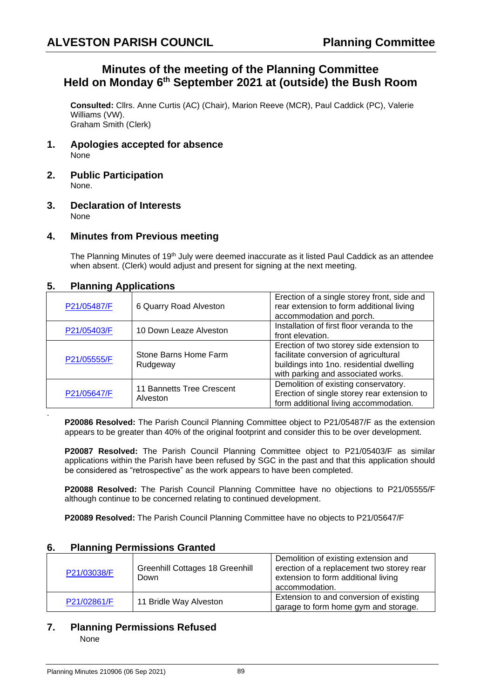# **Minutes of the meeting of the Planning Committee Held on Monday 6 th September 2021 at (outside) the Bush Room**

**Consulted:** Cllrs. Anne Curtis (AC) (Chair), Marion Reeve (MCR), Paul Caddick (PC), Valerie Williams (VW). Graham Smith (Clerk)

- **1. Apologies accepted for absence** None
- **2. Public Participation** None.
- **3. Declaration of Interests** None

#### **4. Minutes from Previous meeting**

The Planning Minutes of 19<sup>th</sup> July were deemed inaccurate as it listed Paul Caddick as an attendee when absent. (Clerk) would adjust and present for signing at the next meeting.

#### **5. Planning Applications**

| P21/05487/F | 6 Quarry Road Alveston                | Erection of a single storey front, side and<br>rear extension to form additional living<br>accommodation and porch.                                                 |
|-------------|---------------------------------------|---------------------------------------------------------------------------------------------------------------------------------------------------------------------|
| P21/05403/F | 10 Down Leaze Alveston                | Installation of first floor veranda to the<br>front elevation.                                                                                                      |
| P21/05555/F | Stone Barns Home Farm<br>Rudgeway     | Erection of two storey side extension to<br>facilitate conversion of agricultural<br>buildings into 1no. residential dwelling<br>with parking and associated works. |
| P21/05647/F | 11 Bannetts Tree Crescent<br>Alveston | Demolition of existing conservatory.<br>Erection of single storey rear extension to<br>form additional living accommodation.                                        |

**P20086 Resolved:** The Parish Council Planning Committee object to P21/05487/F as the extension appears to be greater than 40% of the original footprint and consider this to be over development.

**P20087 Resolved:** The Parish Council Planning Committee object to P21/05403/F as similar applications within the Parish have been refused by SGC in the past and that this application should be considered as "retrospective" as the work appears to have been completed.

**P20088 Resolved:** The Parish Council Planning Committee have no objections to P21/05555/F although continue to be concerned relating to continued development.

**P20089 Resolved:** The Parish Council Planning Committee have no objects to P21/05647/F

#### **6. Planning Permissions Granted**

| P21/03038/F | <b>Greenhill Cottages 18 Greenhill</b><br>Down | Demolition of existing extension and<br>erection of a replacement two storey rear<br>extension to form additional living<br>accommodation. |
|-------------|------------------------------------------------|--------------------------------------------------------------------------------------------------------------------------------------------|
| P21/02861/F | 11 Bridle Way Alveston                         | Extension to and conversion of existing<br>garage to form home gym and storage.                                                            |

#### **7. Planning Permissions Refused**

None

.